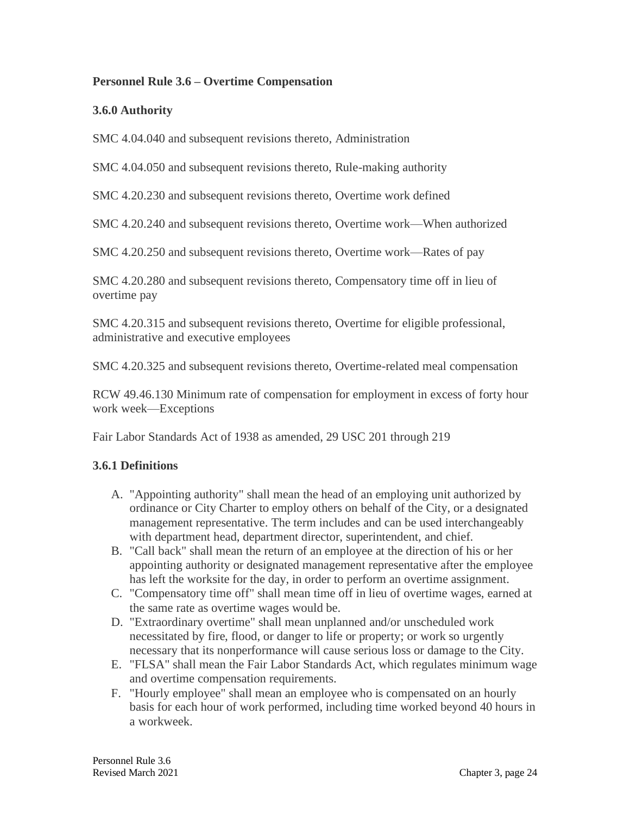#### **Personnel Rule 3.6 – Overtime Compensation**

### **3.6.0 Authority**

SMC 4.04.040 and subsequent revisions thereto, Administration

SMC 4.04.050 and subsequent revisions thereto, Rule-making authority

SMC 4.20.230 and subsequent revisions thereto, Overtime work defined

SMC 4.20.240 and subsequent revisions thereto, Overtime work—When authorized

SMC 4.20.250 and subsequent revisions thereto, Overtime work—Rates of pay

SMC 4.20.280 and subsequent revisions thereto, Compensatory time off in lieu of overtime pay

SMC 4.20.315 and subsequent revisions thereto, Overtime for eligible professional, administrative and executive employees

SMC 4.20.325 and subsequent revisions thereto, Overtime-related meal compensation

RCW 49.46.130 Minimum rate of compensation for employment in excess of forty hour work week—Exceptions

Fair Labor Standards Act of 1938 as amended, 29 USC 201 through 219

#### **3.6.1 Definitions**

- A. "Appointing authority" shall mean the head of an employing unit authorized by ordinance or City Charter to employ others on behalf of the City, or a designated management representative. The term includes and can be used interchangeably with department head, department director, superintendent, and chief.
- B. "Call back" shall mean the return of an employee at the direction of his or her appointing authority or designated management representative after the employee has left the worksite for the day, in order to perform an overtime assignment.
- C. "Compensatory time off" shall mean time off in lieu of overtime wages, earned at the same rate as overtime wages would be.
- D. "Extraordinary overtime" shall mean unplanned and/or unscheduled work necessitated by fire, flood, or danger to life or property; or work so urgently necessary that its nonperformance will cause serious loss or damage to the City.
- E. "FLSA" shall mean the Fair Labor Standards Act, which regulates minimum wage and overtime compensation requirements.
- F. "Hourly employee" shall mean an employee who is compensated on an hourly basis for each hour of work performed, including time worked beyond 40 hours in a workweek.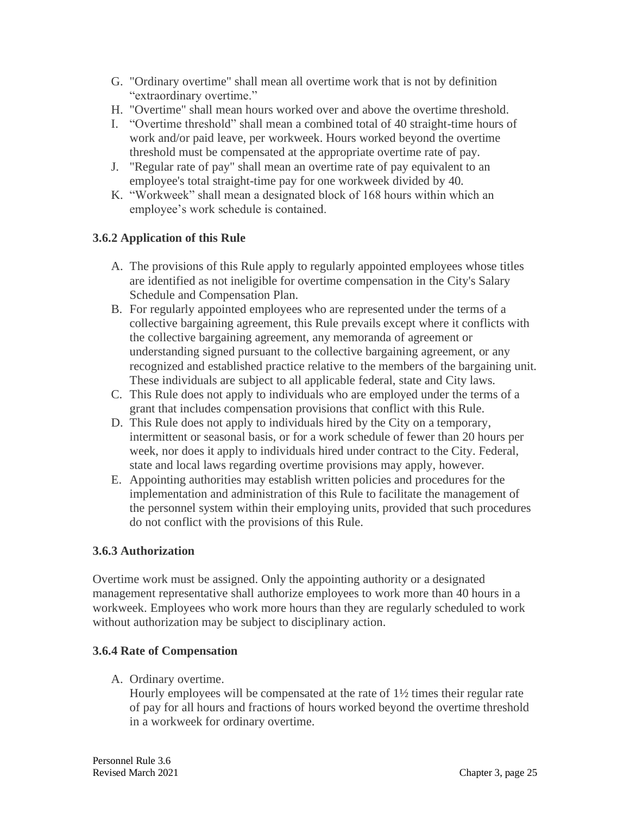- G. "Ordinary overtime" shall mean all overtime work that is not by definition "extraordinary overtime."
- H. "Overtime" shall mean hours worked over and above the overtime threshold.
- I. "Overtime threshold" shall mean a combined total of 40 straight-time hours of work and/or paid leave, per workweek. Hours worked beyond the overtime threshold must be compensated at the appropriate overtime rate of pay.
- J. "Regular rate of pay" shall mean an overtime rate of pay equivalent to an employee's total straight-time pay for one workweek divided by 40.
- K. "Workweek" shall mean a designated block of 168 hours within which an employee's work schedule is contained.

# **3.6.2 Application of this Rule**

- A. The provisions of this Rule apply to regularly appointed employees whose titles are identified as not ineligible for overtime compensation in the City's Salary Schedule and Compensation Plan.
- B. For regularly appointed employees who are represented under the terms of a collective bargaining agreement, this Rule prevails except where it conflicts with the collective bargaining agreement, any memoranda of agreement or understanding signed pursuant to the collective bargaining agreement, or any recognized and established practice relative to the members of the bargaining unit. These individuals are subject to all applicable federal, state and City laws.
- C. This Rule does not apply to individuals who are employed under the terms of a grant that includes compensation provisions that conflict with this Rule.
- D. This Rule does not apply to individuals hired by the City on a temporary, intermittent or seasonal basis, or for a work schedule of fewer than 20 hours per week, nor does it apply to individuals hired under contract to the City. Federal, state and local laws regarding overtime provisions may apply, however.
- E. Appointing authorities may establish written policies and procedures for the implementation and administration of this Rule to facilitate the management of the personnel system within their employing units, provided that such procedures do not conflict with the provisions of this Rule.

# **3.6.3 Authorization**

Overtime work must be assigned. Only the appointing authority or a designated management representative shall authorize employees to work more than 40 hours in a workweek. Employees who work more hours than they are regularly scheduled to work without authorization may be subject to disciplinary action.

# **3.6.4 Rate of Compensation**

A. Ordinary overtime.

Hourly employees will be compensated at the rate of 1½ times their regular rate of pay for all hours and fractions of hours worked beyond the overtime threshold in a workweek for ordinary overtime.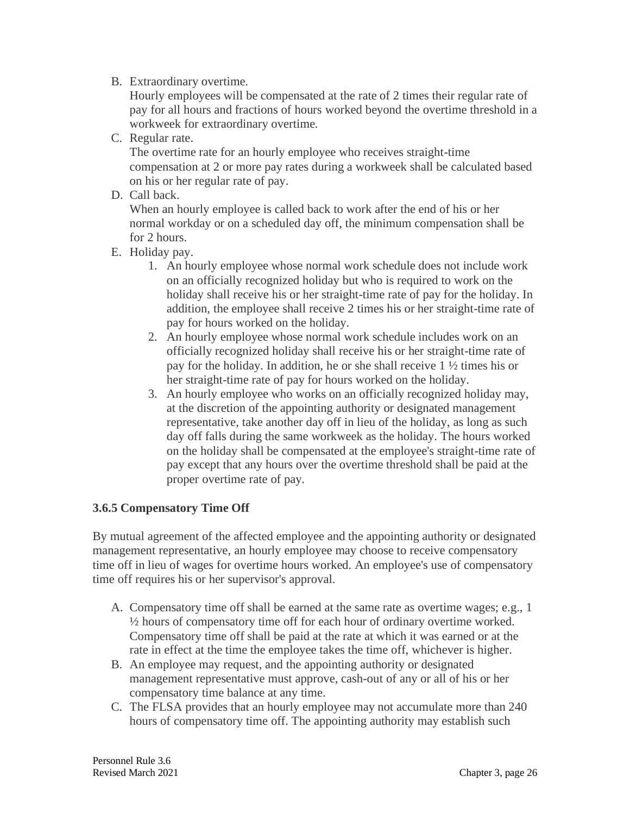#### B. Extraordinary overtime.

Hourly employees will be compensated at the rate of 2 times their regular rate of pay for all hours and fractions of hours worked beyond the overtime threshold in a workweek for extraordinary overtime.

C. Regular rate.

The overtime rate for an hourly employee who receives straight-time compensation at 2 or more pay rates during a workweek shall be calculated based on his or her regular rate of pay.

D. Call back.

When an hourly employee is called back to work after the end of his or her normal workday or on a scheduled day off, the minimum compensation shall be for 2 hours.

- E. Holiday pay.
	- 1. An hourly employee whose normal work schedule does not include work on an officially recognized holiday but who is required to work on the holiday shall receive his or her straight-time rate of pay for the holiday. In addition, the employee shall receive 2 times his or her straight-time rate of pay for hours worked on the holiday.
	- 2. An hourly employee whose normal work schedule includes work on an officially recognized holiday shall receive his or her straight-time rate of pay for the holiday. In addition, he or she shall receive 1 ½ times his or her straight-time rate of pay for hours worked on the holiday.
	- 3. An hourly employee who works on an officially recognized holiday may, at the discretion of the appointing authority or designated management representative, take another day off in lieu of the holiday, as long as such day off falls during the same workweek as the holiday. The hours worked on the holiday shall be compensated at the employee's straight-time rate of pay except that any hours over the overtime threshold shall be paid at the proper overtime rate of pay.

# **3.6.5 Compensatory Time Off**

By mutual agreement of the affected employee and the appointing authority or designated management representative, an hourly employee may choose to receive compensatory time off in lieu of wages for overtime hours worked. An employee's use of compensatory time off requires his or her supervisor's approval.

- A. Compensatory time off shall be earned at the same rate as overtime wages; e.g., 1 ½ hours of compensatory time off for each hour of ordinary overtime worked. Compensatory time off shall be paid at the rate at which it was earned or at the rate in effect at the time the employee takes the time off, whichever is higher.
- B. An employee may request, and the appointing authority or designated management representative must approve, cash-out of any or all of his or her compensatory time balance at any time.
- C. The FLSA provides that an hourly employee may not accumulate more than 240 hours of compensatory time off. The appointing authority may establish such